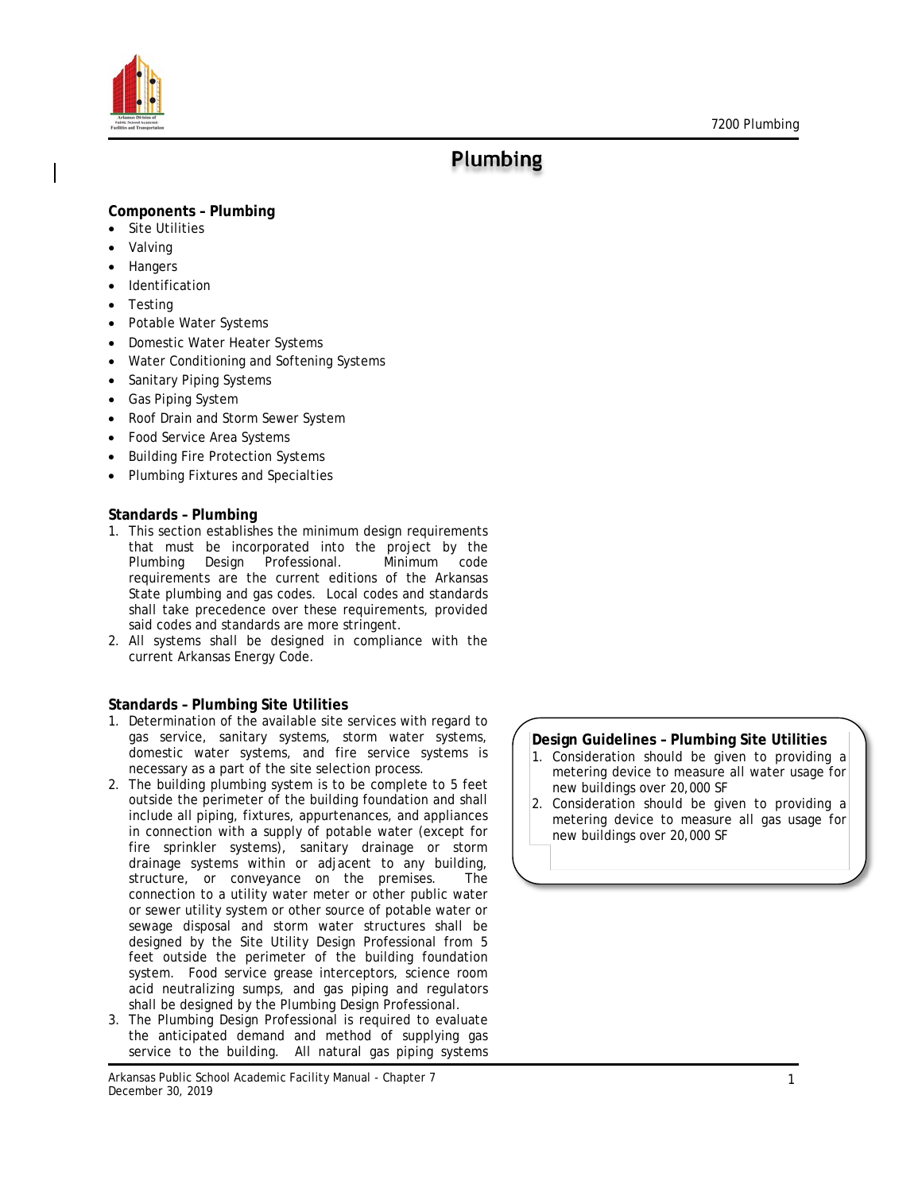

# **Plumbing**

# **Components – Plumbing**

- **Site Utilities**
- **Valving**
- **Hangers**
- **Identification**
- **Testing**
- Potable Water Systems
- Domestic Water Heater Systems
- Water Conditioning and Softening Systems
- Sanitary Piping Systems
- Gas Piping System
- Roof Drain and Storm Sewer System
- Food Service Area Systems
- Building Fire Protection Systems
- Plumbing Fixtures and Specialties

# **Standards – Plumbing**

- 1. This section establishes the minimum design requirements that must be incorporated into the project by the Plumbing Design Professional. Minimum code requirements are the current editions of the Arkansas State plumbing and gas codes. Local codes and standards shall take precedence over these requirements, provided said codes and standards are more stringent.
- 2. All systems shall be designed in compliance with the current Arkansas Energy Code.

## **Standards – Plumbing Site Utilities**

- 1. Determination of the available site services with regard to gas service, sanitary systems, storm water systems, domestic water systems, and fire service systems is necessary as a part of the site selection process.
- 2. The building plumbing system is to be complete to 5 feet outside the perimeter of the building foundation and shall include all piping, fixtures, appurtenances, and appliances in connection with a supply of potable water (except for fire sprinkler systems), sanitary drainage or storm drainage systems within or adjacent to any building, structure, or conveyance on the premises. The connection to a utility water meter or other public water or sewer utility system or other source of potable water or sewage disposal and storm water structures shall be designed by the Site Utility Design Professional from 5 feet outside the perimeter of the building foundation system. Food service grease interceptors, science room acid neutralizing sumps, and gas piping and regulators shall be designed by the Plumbing Design Professional.
- 3. The Plumbing Design Professional is required to evaluate the anticipated demand and method of supplying gas service to the building. All natural gas piping systems

# **Design Guidelines – Plumbing Site Utilities**

- 1. Consideration should be given to providing a metering device to measure all water usage for new buildings over 20,000 SF
- 2. Consideration should be given to providing a metering device to measure all gas usage for new buildings over 20,000 SF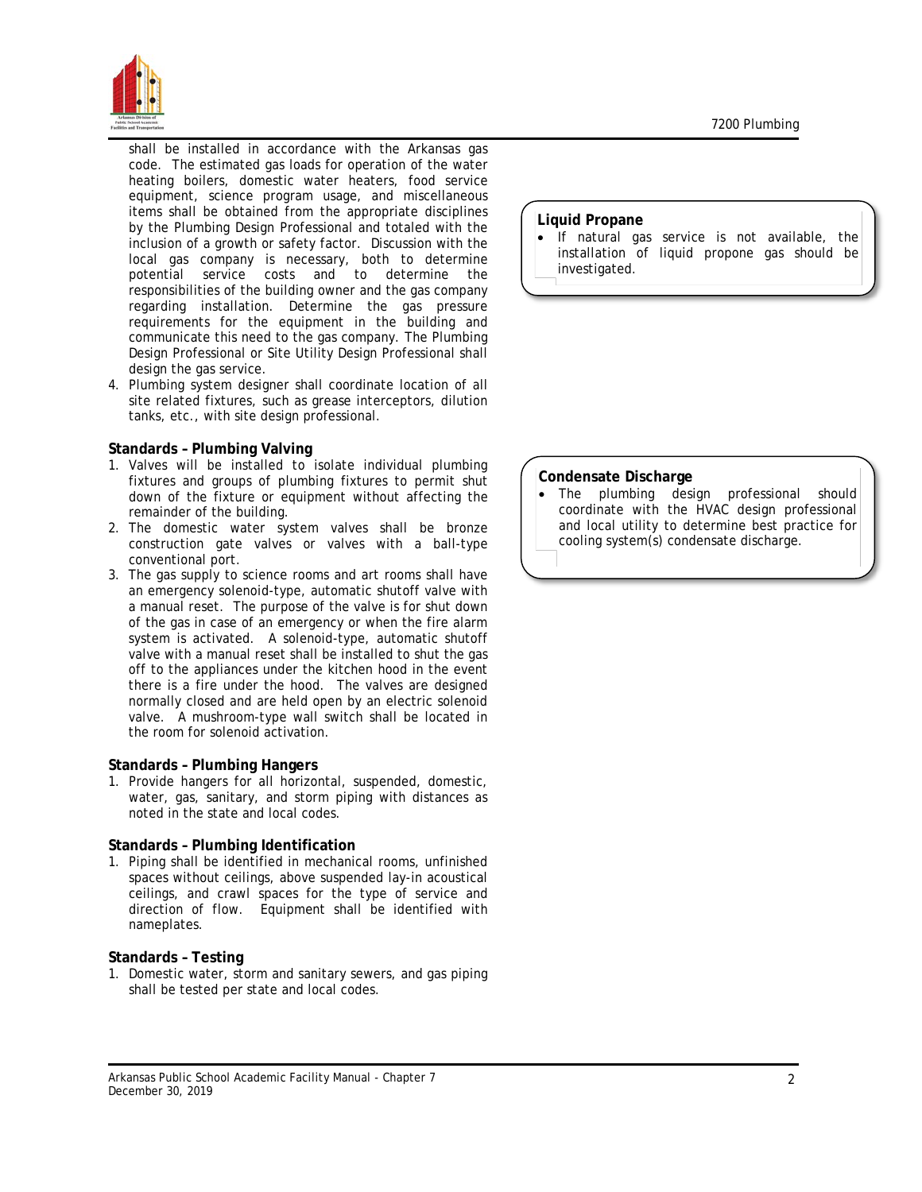

shall be installed in accordance with the Arkansas gas code. The estimated gas loads for operation of the water heating boilers, domestic water heaters, food service equipment, science program usage, and miscellaneous items shall be obtained from the appropriate disciplines by the Plumbing Design Professional and totaled with the inclusion of a growth or safety factor. Discussion with the local gas company is necessary, both to determine potential service costs and to determine the responsibilities of the building owner and the gas company regarding installation. Determine the gas pressure requirements for the equipment in the building and communicate this need to the gas company. The Plumbing Design Professional or Site Utility Design Professional shall design the gas service.

4. Plumbing system designer shall coordinate location of all site related fixtures, such as grease interceptors, dilution tanks, etc., with site design professional.

## **Standards – Plumbing Valving**

- 1. Valves will be installed to isolate individual plumbing fixtures and groups of plumbing fixtures to permit shut down of the fixture or equipment without affecting the remainder of the building.
- 2. The domestic water system valves shall be bronze construction gate valves or valves with a ball-type conventional port.
- 3. The gas supply to science rooms and art rooms shall have an emergency solenoid-type, automatic shutoff valve with a manual reset. The purpose of the valve is for shut down of the gas in case of an emergency or when the fire alarm system is activated. A solenoid-type, automatic shutoff valve with a manual reset shall be installed to shut the gas off to the appliances under the kitchen hood in the event there is a fire under the hood. The valves are designed normally closed and are held open by an electric solenoid valve. A mushroom-type wall switch shall be located in the room for solenoid activation.

## **Standards – Plumbing Hangers**

1. Provide hangers for all horizontal, suspended, domestic, water, gas, sanitary, and storm piping with distances as noted in the state and local codes.

#### **Standards – Plumbing Identification**

1. Piping shall be identified in mechanical rooms, unfinished spaces without ceilings, above suspended lay-in acoustical ceilings, and crawl spaces for the type of service and direction of flow. Equipment shall be identified with nameplates.

## **Standards – Testing**

1. Domestic water, storm and sanitary sewers, and gas piping shall be tested per state and local codes.

#### **Liquid Propane**

• If natural gas service is not available, the installation of liquid propone gas should be investigated.

### **Condensate Discharge**

The plumbing design professional should coordinate with the HVAC design professional and local utility to determine best practice for cooling system(s) condensate discharge.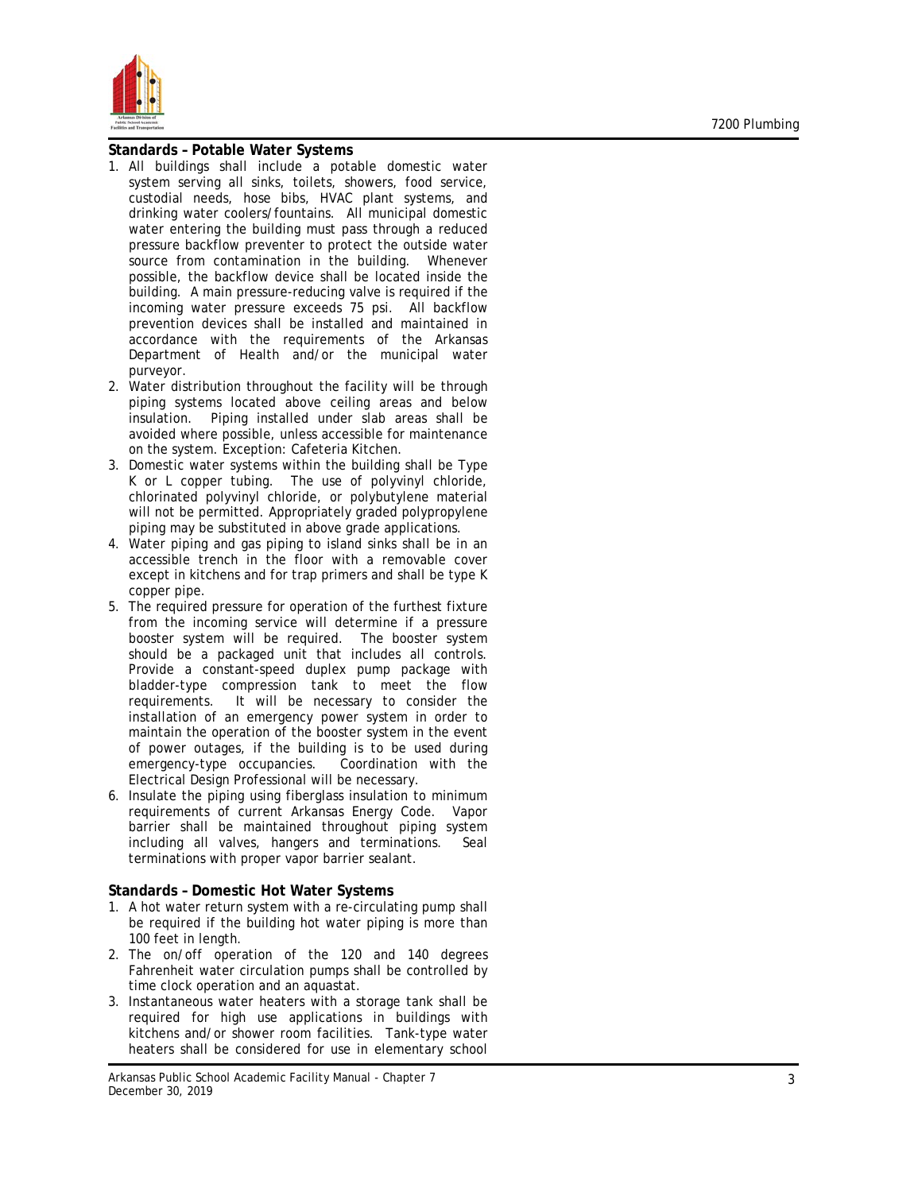

#### **Standards – Potable Water Systems**

- 1. All buildings shall include a potable domestic water system serving all sinks, toilets, showers, food service, custodial needs, hose bibs, HVAC plant systems, and drinking water coolers/fountains. All municipal domestic water entering the building must pass through a reduced pressure backflow preventer to protect the outside water source from contamination in the building. Whenever possible, the backflow device shall be located inside the building. A main pressure-reducing valve is required if the incoming water pressure exceeds 75 psi. All backflow prevention devices shall be installed and maintained in accordance with the requirements of the Arkansas Department of Health and/or the municipal water purveyor.
- 2. Water distribution throughout the facility will be through piping systems located above ceiling areas and below insulation. Piping installed under slab areas shall be avoided where possible, unless accessible for maintenance on the system. Exception: Cafeteria Kitchen.
- 3. Domestic water systems within the building shall be Type K or L copper tubing. The use of polyvinyl chloride, chlorinated polyvinyl chloride, or polybutylene material will not be permitted. Appropriately graded polypropylene piping may be substituted in above grade applications.
- 4. Water piping and gas piping to island sinks shall be in an accessible trench in the floor with a removable cover except in kitchens and for trap primers and shall be type K copper pipe .
- 5. The required pressure for operation of the furthest fixture from the incoming service will determine if a pressure booster system will be required. The booster system should be a packaged unit that includes all controls. Provide a constant-speed duplex pump package with bladder -type compression tank to meet the flow requirements. It will be necessary to consider the installation of an emergency power system in order to maintain the operation of the booster system in the event of power outages, if the building is to be used during emergency-type occupancies. Coordination with the Electrical Design Professional will be necessary.
- 6. Insulate the piping using fiberglass insulation to minimum requirements of current Arkansas Energy Code. Vapor barrier shall be maintained throughout piping system including all valves, hangers and terminations. Seal terminations with proper vapor barrier sealant.

### **Standards – Domestic Hot Water Systems**

- 1. A hot water return system with a re -circulating pump shall be required if the building hot water piping is more than 100 feet in length .
- 2. The on/off operation of the 120 and 140 degrees Fahrenheit water circulation pumps shall be controlled by time clock operation and an aquastat .
- 3. Instantaneous water heaters with a storage tank shall be required for high use applications in buildings with kitchens and/or shower room facilities. Tank -type water heaters shall be considered for use in elementary school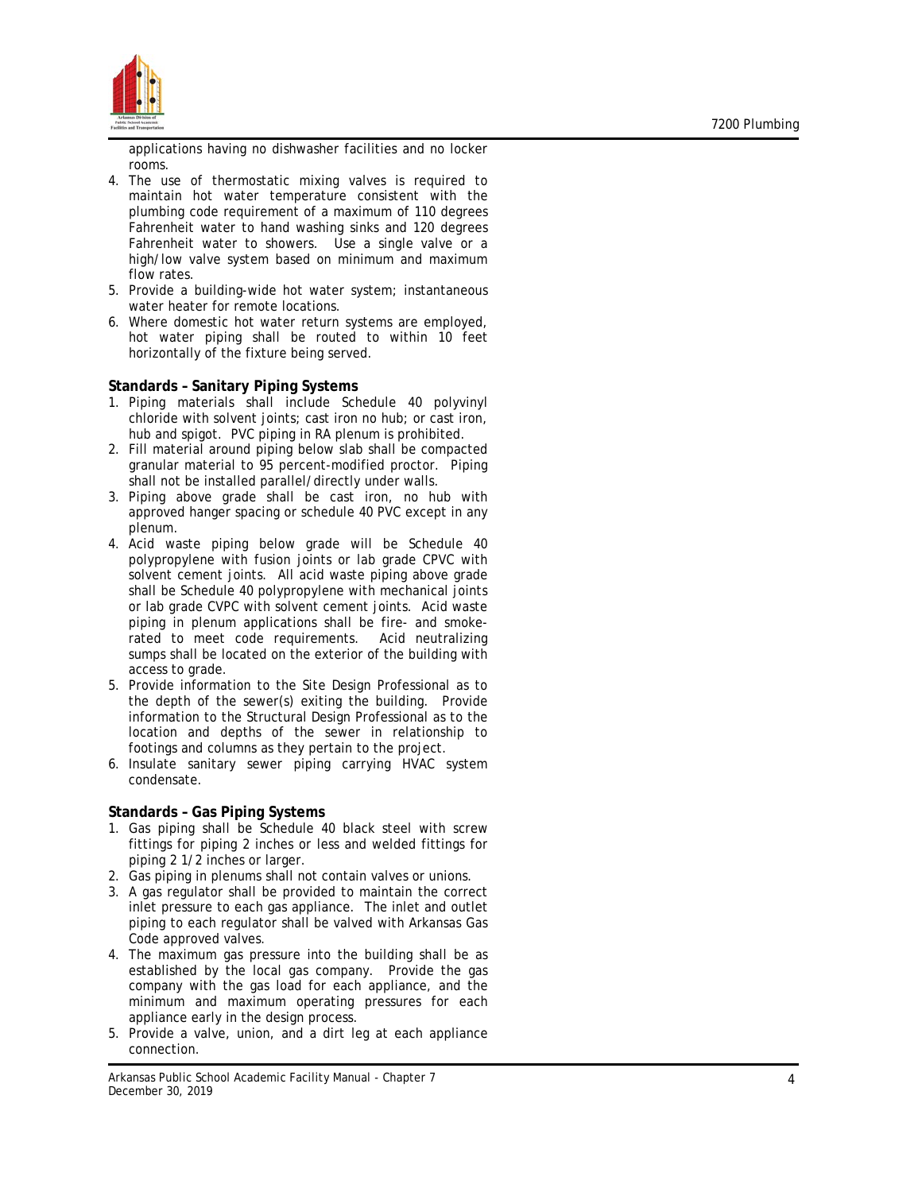

applications having no dishwasher facilities and no locker rooms.

- 4. The use of thermostatic mixing valves is required to maintain hot water temperature consistent with the plumbing code requirement of a maximum of 110 degrees Fahrenheit water to hand washing sinks and 120 degrees Fahrenheit water to showers. Use a single valve or a high/low valve system based on minimum and maximum flow rates.
- 5. Provide a building -wide hot water system; instantaneous water heater for remote locations .
- 6. Where domestic hot water return systems are employed, hot water piping shall be routed to within 10 feet horizontally of the fixture being served.

## **Standards – Sanitary Piping Systems**

- 1. Piping materials shall include Schedule 40 polyvinyl chloride with solvent joints; cast iron no hub; or cast iron, hub and spigot. PVC piping in RA plenum is prohibited.
- 2. Fill material around piping below slab shall be compacted granular material to 95 percent -modified proctor. Piping shall not be installed parallel/directly under walls.
- 3. Piping above grade shall be cast iron, no hub with approved hanger spacing or schedule 40 PVC except in any plenum .
- 4. Acid waste piping below grade will be Schedule 40 polypropylene with fusion joints or lab grade CPVC with solvent cement joints. All acid waste piping above grade shall be Schedule 40 polypropylene with mechanical joints or lab grade CVPC with solvent cement joints. Acid waste piping in plenum applications shall be fire - and smoke rated to meet code requirements. Acid neutralizing sumps shall be located on the exterior of the building with access to grade.
- 5. Provide information to the Site Design Professional as to the depth of the sewer(s) exiting the building. Provide information to the Structural Design Professional as to the location and depths of the sewer in relationship to footings and columns as they pertain to the project.
- 6. Insulate sanitary sewer piping carrying HVAC system condensate .

# **Standards – Gas Piping Systems**

- 1. Gas piping shall be Schedule 40 black steel with screw fittings for piping 2 inches or less and welded fittings for piping 2 1/2 inches or larger .
- 2. Gas piping in plenums shall not contain valves or unions .
- 3. A gas regulator shall be provided to maintain the correct inlet pressure to each gas appliance. The inlet and outlet piping to each regulator shall be valved with Arkansas Gas Code approved valves.
- 4. The maximum gas pressure into the building shall be as established by the local gas company. Provide the gas company with the gas load for each appliance, and the minimum and maximum operating pressures for each appliance early in the design process .
- 5. Provide a valve, union, and a dirt leg at each appliance connection .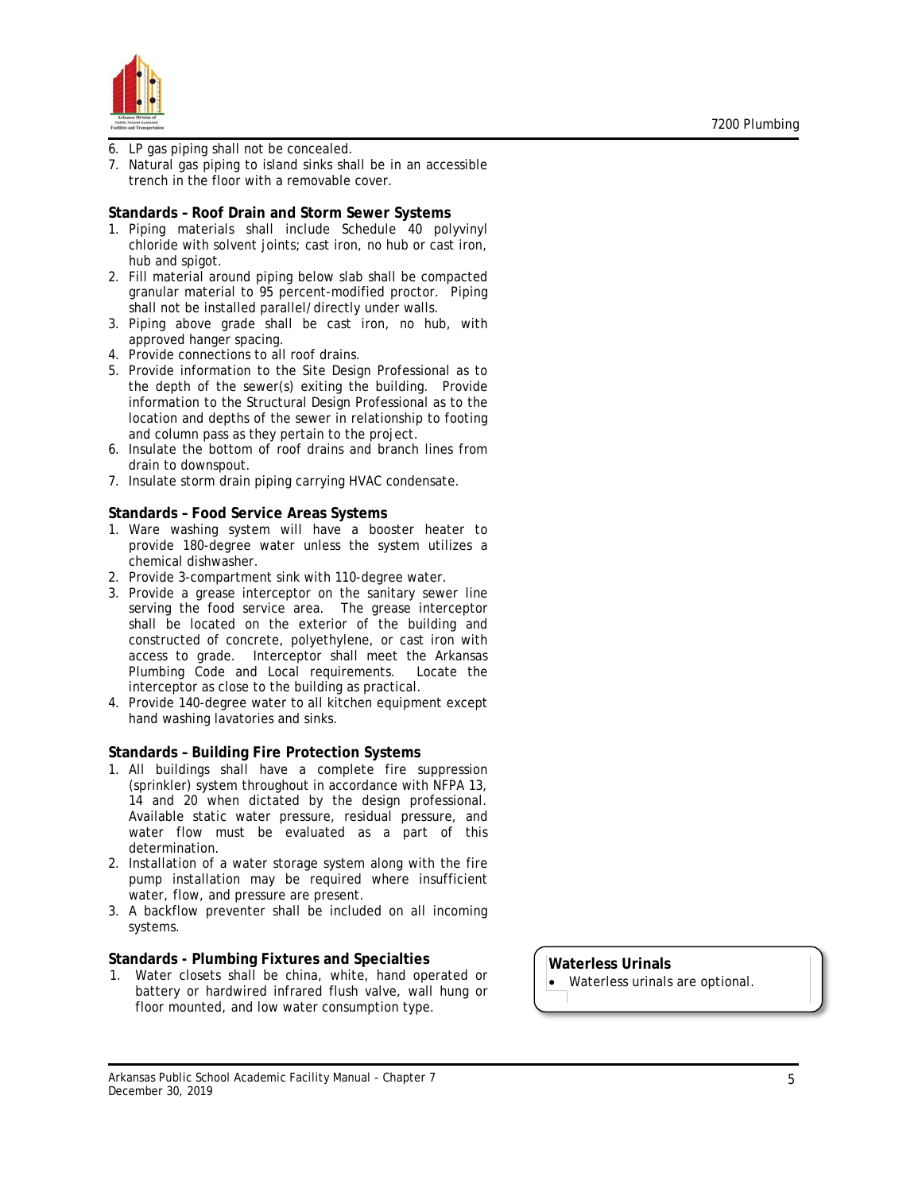

- 6. LP gas piping shall not be concealed.
- 7. Natural gas piping to island sinks shall be in an accessible trench in the floor with a removable cover.

#### **Standards – Roof Drain and Storm Sewer Systems**

- 1. Piping materials shall include Schedule 40 polyvinyl chloride with solvent joints; cast iron, no hub or cast iron, hub and spigot.
- 2. Fill material around piping below slab shall be compacted granular material to 95 percent-modified proctor. Piping shall not be installed parallel/directly under walls.
- 3. Piping above grade shall be cast iron, no hub, with approved hanger spacing.
- 4. Provide connections to all roof drains.
- 5. Provide information to the Site Design Professional as to the depth of the sewer(s) exiting the building. Provide information to the Structural Design Professional as to the location and depths of the sewer in relationship to footing and column pass as they pertain to the project.
- 6. Insulate the bottom of roof drains and branch lines from drain to downspout.
- 7. Insulate storm drain piping carrying HVAC condensate.

### **Standards – Food Service Areas Systems**

- 1. Ware washing system will have a booster heater to provide 180-degree water unless the system utilizes a chemical dishwasher.
- 2. Provide 3-compartment sink with 110-degree water.
- 3. Provide a grease interceptor on the sanitary sewer line serving the food service area. The grease interceptor shall be located on the exterior of the building and constructed of concrete, polyethylene, or cast iron with access to grade. Interceptor shall meet the Arkansas Plumbing Code and Local requirements. Locate the interceptor as close to the building as practical.
- 4. Provide 140-degree water to all kitchen equipment except hand washing lavatories and sinks.

## **Standards – Building Fire Protection Systems**

- 1. All buildings shall have a complete fire suppression (sprinkler) system throughout in accordance with NFPA 13, 14 and 20 when dictated by the design professional. Available static water pressure, residual pressure, and water flow must be evaluated as a part of this determination.
- 2. Installation of a water storage system along with the fire pump installation may be required where insufficient water, flow, and pressure are present.
- 3. A backflow preventer shall be included on all incoming systems.

#### **Standards - Plumbing Fixtures and Specialties**

1. Water closets shall be china, white, hand operated or battery or hardwired infrared flush valve, wall hung or floor mounted, and low water consumption type.

**Waterless Urinals** • Waterless urinals are optional.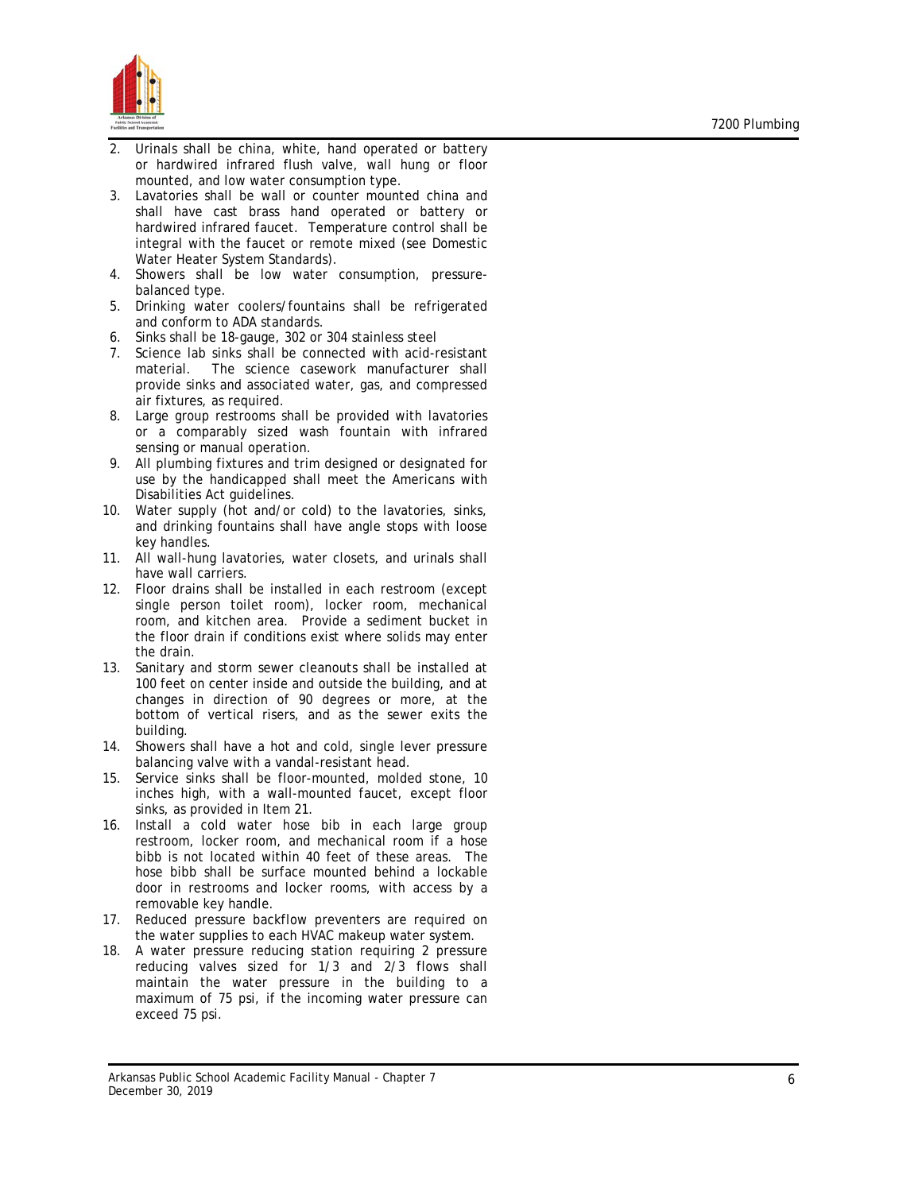

- 2. Urinals shall be china, white, hand operated or battery or hardwired infrared flush valve, wall hung or floor mounted, and low water consumption type.
- 3. Lavatories shall be wall or counter mounted china and shall have cast brass hand operated or battery or hardwired infrared faucet. Temperature control shall be integral with the faucet or remote mixed ( see Domestic Water Heater System Standards) .
- 4. Showers shall be low water consumption, pressure balanced type .
- 5. Drinking water coolers/fountains shall be refrigerated and conform to ADA standards .
- 6. Sinks shall be 18 -gauge, 302 or 304 stainless steel
- 7. Science lab sinks shall be connected with acid -resistant material. The science casework manufacturer shall provide sinks and associated water, gas, and compressed air fixtures, as required .
- 8. Large group restrooms shall be provided with lavatories or a comparably sized wash fountain with infrared sensing or manual operation .
- 9. All plumbing fixtures and trim designed or designated for use by the handicapped shall meet the Americans with Disabilities Act guidelines .
- 10. Water supply (hot and/or c old) to the lavatories, sinks, and drinking fountains shall have angle stops with loose key handles .
- 11. All wall -hung lavatories, water closets, and urinals shall have wall carriers .
- 12. Floor drains shall be installed in each restroom (except single person toilet room), locker room, mechanical room, and kitchen area. Provide a sediment bucket in the floor drain if conditions exist where solids may enter the drain.
- 13. Sanitary and storm sewer cleanouts shall be installed at 100 feet on center inside and outside the building, and at changes in direction of 90 degrees or more, at the bottom of vertical risers , and as the sewer exits the building .
- 14. Showers shall have a hot and cold, single lever pressure balancing valve with a vandal -resistant head .
- 15. Service sinks shall be floor -mounted, molded stone, 10 inches high, with a wall -mounted faucet, except floor sinks, as provided in Item 21 .
- 16. Install a cold water hose bib in each large group restroom, locker room, and mechanical room if a hose bibb is not located within 40 feet of these areas. The hose bib b shall be surface mounted behind a lockable door in restrooms and locker rooms, with access by a removable key handle.
- 17. Reduced pressure backflow preventers are required on the water supplies to each HVAC makeup water system .
- 18. A water pressure reducing station requiring 2 pressure reducing valves sized for 1/3 and 2/3 flows shall maintain the water pressure in the building to a maximum of 75 psi, if the incoming water pressure can exceed 75 psi .